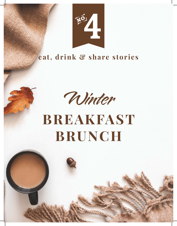

# **eat, drink & share stories**



# **BREAKFAST BRUNCH**